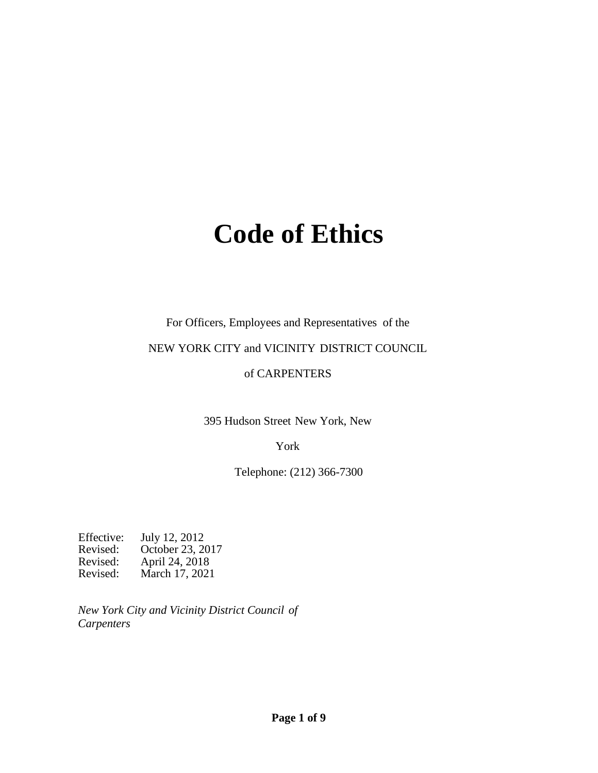# **Code of Ethics**

#### For Officers, Employees and Representatives of the

#### NEW YORK CITY and VICINITY DISTRICT COUNCIL

#### of CARPENTERS

395 Hudson Street New York, New

#### York

Telephone: (212) 366-7300

Effective: July 12, 2012<br>Revised: October 23, 2017 Revised: October 23, 2017 Revised: April 24, 2018 Revised: March 17, 2021

*New York City and Vicinity District Council of Carpenters*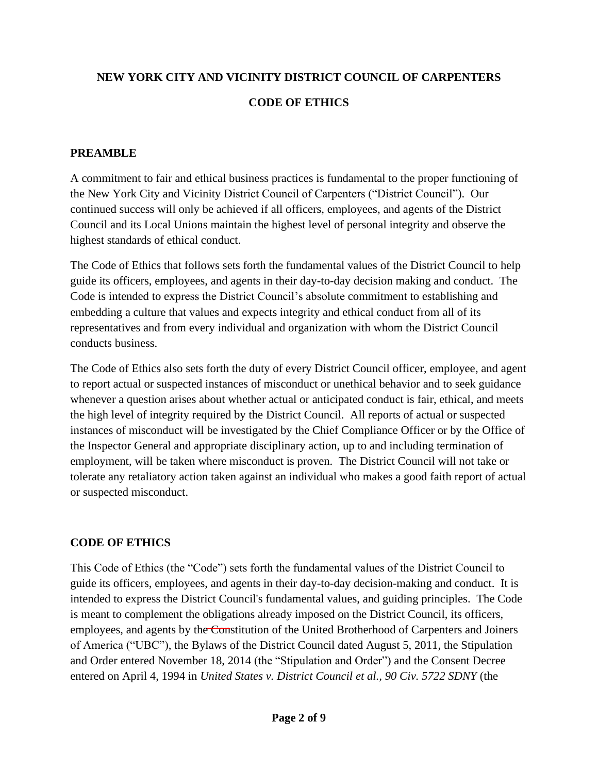# **NEW YORK CITY AND VICINITY DISTRICT COUNCIL OF CARPENTERS CODE OF ETHICS**

### **PREAMBLE**

A commitment to fair and ethical business practices is fundamental to the proper functioning of the New York City and Vicinity District Council of Carpenters ("District Council"). Our continued success will only be achieved if all officers, employees, and agents of the District Council and its Local Unions maintain the highest level of personal integrity and observe the highest standards of ethical conduct.

The Code of Ethics that follows sets forth the fundamental values of the District Council to help guide its officers, employees, and agents in their day-to-day decision making and conduct. The Code is intended to express the District Council's absolute commitment to establishing and embedding a culture that values and expects integrity and ethical conduct from all of its representatives and from every individual and organization with whom the District Council conducts business.

The Code of Ethics also sets forth the duty of every District Council officer, employee, and agent to report actual or suspected instances of misconduct or unethical behavior and to seek guidance whenever a question arises about whether actual or anticipated conduct is fair, ethical, and meets the high level of integrity required by the District Council. All reports of actual or suspected instances of misconduct will be investigated by the Chief Compliance Officer or by the Office of the Inspector General and appropriate disciplinary action, up to and including termination of employment, will be taken where misconduct is proven. The District Council will not take or tolerate any retaliatory action taken against an individual who makes a good faith report of actual or suspected misconduct.

# **CODE OF ETHICS**

This Code of Ethics (the "Code") sets forth the fundamental values of the District Council to guide its officers, employees, and agents in their day-to-day decision-making and conduct. It is intended to express the District Council's fundamental values, and guiding principles. The Code is meant to complement the obligations already imposed on the District Council, its officers, employees, and agents by the Constitution of the United Brotherhood of Carpenters and Joiners of America ("UBC"), the Bylaws of the District Council dated August 5, 2011, the Stipulation and Order entered November 18, 2014 (the "Stipulation and Order") and the Consent Decree entered on April 4, 1994 in *United States v. District Council et al., 90 Civ. 5722 SDNY* (the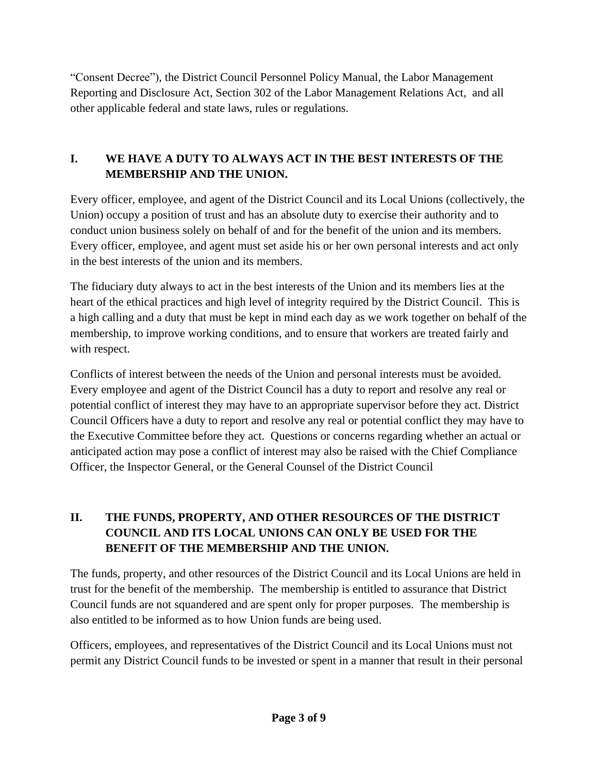"Consent Decree")*,* the District Council Personnel Policy Manual, the Labor Management Reporting and Disclosure Act, Section 302 of the Labor Management Relations Act, and all other applicable federal and state laws, rules or regulations.

# **I. WE HAVE A DUTY TO ALWAYS ACT IN THE BEST INTERESTS OF THE MEMBERSHIP AND THE UNION.**

Every officer, employee, and agent of the District Council and its Local Unions (collectively, the Union) occupy a position of trust and has an absolute duty to exercise their authority and to conduct union business solely on behalf of and for the benefit of the union and its members. Every officer, employee, and agent must set aside his or her own personal interests and act only in the best interests of the union and its members.

The fiduciary duty always to act in the best interests of the Union and its members lies at the heart of the ethical practices and high level of integrity required by the District Council. This is a high calling and a duty that must be kept in mind each day as we work together on behalf of the membership, to improve working conditions, and to ensure that workers are treated fairly and with respect.

Conflicts of interest between the needs of the Union and personal interests must be avoided. Every employee and agent of the District Council has a duty to report and resolve any real or potential conflict of interest they may have to an appropriate supervisor before they act. District Council Officers have a duty to report and resolve any real or potential conflict they may have to the Executive Committee before they act. Questions or concerns regarding whether an actual or anticipated action may pose a conflict of interest may also be raised with the Chief Compliance Officer, the Inspector General, or the General Counsel of the District Council

# **II. THE FUNDS, PROPERTY, AND OTHER RESOURCES OF THE DISTRICT COUNCIL AND ITS LOCAL UNIONS CAN ONLY BE USED FOR THE BENEFIT OF THE MEMBERSHIP AND THE UNION.**

The funds, property, and other resources of the District Council and its Local Unions are held in trust for the benefit of the membership. The membership is entitled to assurance that District Council funds are not squandered and are spent only for proper purposes. The membership is also entitled to be informed as to how Union funds are being used.

Officers, employees, and representatives of the District Council and its Local Unions must not permit any District Council funds to be invested or spent in a manner that result in their personal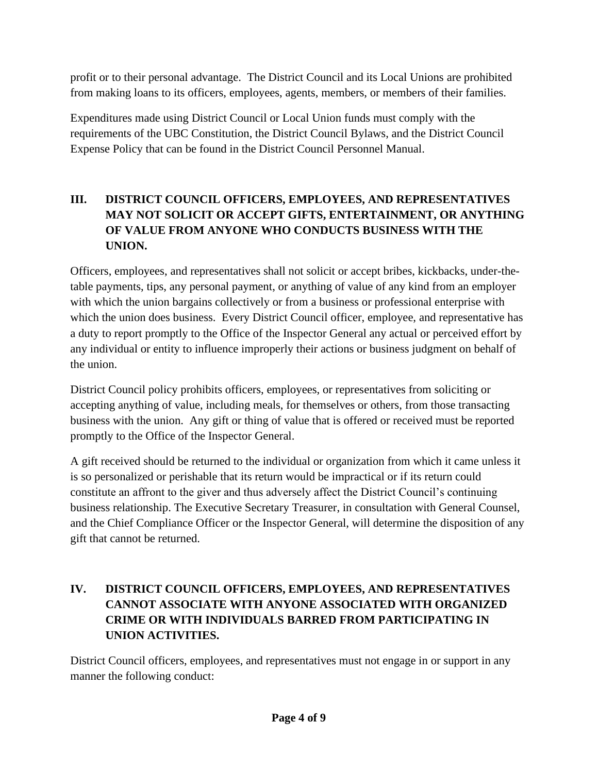profit or to their personal advantage. The District Council and its Local Unions are prohibited from making loans to its officers, employees, agents, members, or members of their families.

Expenditures made using District Council or Local Union funds must comply with the requirements of the UBC Constitution, the District Council Bylaws, and the District Council Expense Policy that can be found in the District Council Personnel Manual.

# **III. DISTRICT COUNCIL OFFICERS, EMPLOYEES, AND REPRESENTATIVES MAY NOT SOLICIT OR ACCEPT GIFTS, ENTERTAINMENT, OR ANYTHING OF VALUE FROM ANYONE WHO CONDUCTS BUSINESS WITH THE UNION.**

Officers, employees, and representatives shall not solicit or accept bribes, kickbacks, under-thetable payments, tips, any personal payment, or anything of value of any kind from an employer with which the union bargains collectively or from a business or professional enterprise with which the union does business. Every District Council officer, employee, and representative has a duty to report promptly to the Office of the Inspector General any actual or perceived effort by any individual or entity to influence improperly their actions or business judgment on behalf of the union.

District Council policy prohibits officers, employees, or representatives from soliciting or accepting anything of value, including meals, for themselves or others, from those transacting business with the union. Any gift or thing of value that is offered or received must be reported promptly to the Office of the Inspector General.

A gift received should be returned to the individual or organization from which it came unless it is so personalized or perishable that its return would be impractical or if its return could constitute an affront to the giver and thus adversely affect the District Council's continuing business relationship. The Executive Secretary Treasurer, in consultation with General Counsel, and the Chief Compliance Officer or the Inspector General, will determine the disposition of any gift that cannot be returned.

# **IV. DISTRICT COUNCIL OFFICERS, EMPLOYEES, AND REPRESENTATIVES CANNOT ASSOCIATE WITH ANYONE ASSOCIATED WITH ORGANIZED CRIME OR WITH INDIVIDUALS BARRED FROM PARTICIPATING IN UNION ACTIVITIES.**

District Council officers, employees, and representatives must not engage in or support in any manner the following conduct: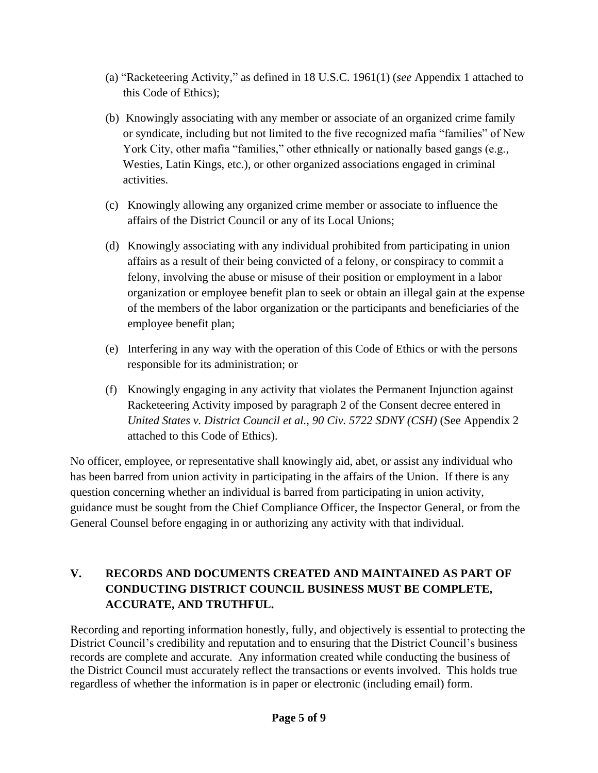- (a) "Racketeering Activity," as defined in 18 U.S.C. 1961(1) (*see* Appendix 1 attached to this Code of Ethics);
- (b) Knowingly associating with any member or associate of an organized crime family or syndicate, including but not limited to the five recognized mafia "families" of New York City, other mafia "families," other ethnically or nationally based gangs (e.g., Westies, Latin Kings, etc.), or other organized associations engaged in criminal activities.
- (c) Knowingly allowing any organized crime member or associate to influence the affairs of the District Council or any of its Local Unions;
- (d) Knowingly associating with any individual prohibited from participating in union affairs as a result of their being convicted of a felony, or conspiracy to commit a felony, involving the abuse or misuse of their position or employment in a labor organization or employee benefit plan to seek or obtain an illegal gain at the expense of the members of the labor organization or the participants and beneficiaries of the employee benefit plan;
- (e) Interfering in any way with the operation of this Code of Ethics or with the persons responsible for its administration; or
- (f) Knowingly engaging in any activity that violates the Permanent Injunction against Racketeering Activity imposed by paragraph 2 of the Consent decree entered in *United States v. District Council et al., 90 Civ. 5722 SDNY (CSH)* (See Appendix 2 attached to this Code of Ethics).

No officer, employee, or representative shall knowingly aid, abet, or assist any individual who has been barred from union activity in participating in the affairs of the Union. If there is any question concerning whether an individual is barred from participating in union activity, guidance must be sought from the Chief Compliance Officer, the Inspector General, or from the General Counsel before engaging in or authorizing any activity with that individual.

# **V. RECORDS AND DOCUMENTS CREATED AND MAINTAINED AS PART OF CONDUCTING DISTRICT COUNCIL BUSINESS MUST BE COMPLETE, ACCURATE, AND TRUTHFUL.**

Recording and reporting information honestly, fully, and objectively is essential to protecting the District Council's credibility and reputation and to ensuring that the District Council's business records are complete and accurate. Any information created while conducting the business of the District Council must accurately reflect the transactions or events involved. This holds true regardless of whether the information is in paper or electronic (including email) form.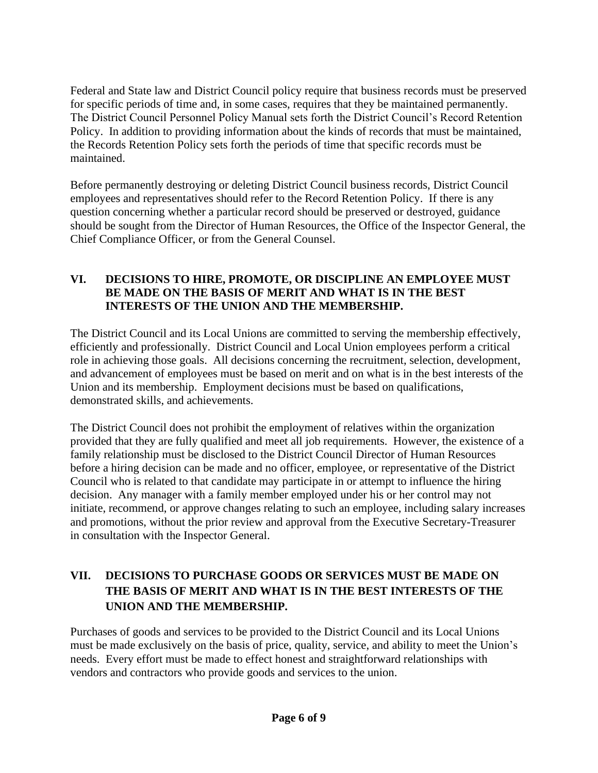Federal and State law and District Council policy require that business records must be preserved for specific periods of time and, in some cases, requires that they be maintained permanently. The District Council Personnel Policy Manual sets forth the District Council's Record Retention Policy. In addition to providing information about the kinds of records that must be maintained, the Records Retention Policy sets forth the periods of time that specific records must be maintained.

Before permanently destroying or deleting District Council business records, District Council employees and representatives should refer to the Record Retention Policy. If there is any question concerning whether a particular record should be preserved or destroyed, guidance should be sought from the Director of Human Resources, the Office of the Inspector General, the Chief Compliance Officer, or from the General Counsel.

#### **VI. DECISIONS TO HIRE, PROMOTE, OR DISCIPLINE AN EMPLOYEE MUST BE MADE ON THE BASIS OF MERIT AND WHAT IS IN THE BEST INTERESTS OF THE UNION AND THE MEMBERSHIP.**

The District Council and its Local Unions are committed to serving the membership effectively, efficiently and professionally. District Council and Local Union employees perform a critical role in achieving those goals. All decisions concerning the recruitment, selection, development, and advancement of employees must be based on merit and on what is in the best interests of the Union and its membership. Employment decisions must be based on qualifications, demonstrated skills, and achievements.

The District Council does not prohibit the employment of relatives within the organization provided that they are fully qualified and meet all job requirements. However, the existence of a family relationship must be disclosed to the District Council Director of Human Resources before a hiring decision can be made and no officer, employee, or representative of the District Council who is related to that candidate may participate in or attempt to influence the hiring decision. Any manager with a family member employed under his or her control may not initiate, recommend, or approve changes relating to such an employee, including salary increases and promotions, without the prior review and approval from the Executive Secretary-Treasurer in consultation with the Inspector General.

# **VII. DECISIONS TO PURCHASE GOODS OR SERVICES MUST BE MADE ON THE BASIS OF MERIT AND WHAT IS IN THE BEST INTERESTS OF THE UNION AND THE MEMBERSHIP.**

Purchases of goods and services to be provided to the District Council and its Local Unions must be made exclusively on the basis of price, quality, service, and ability to meet the Union's needs. Every effort must be made to effect honest and straightforward relationships with vendors and contractors who provide goods and services to the union.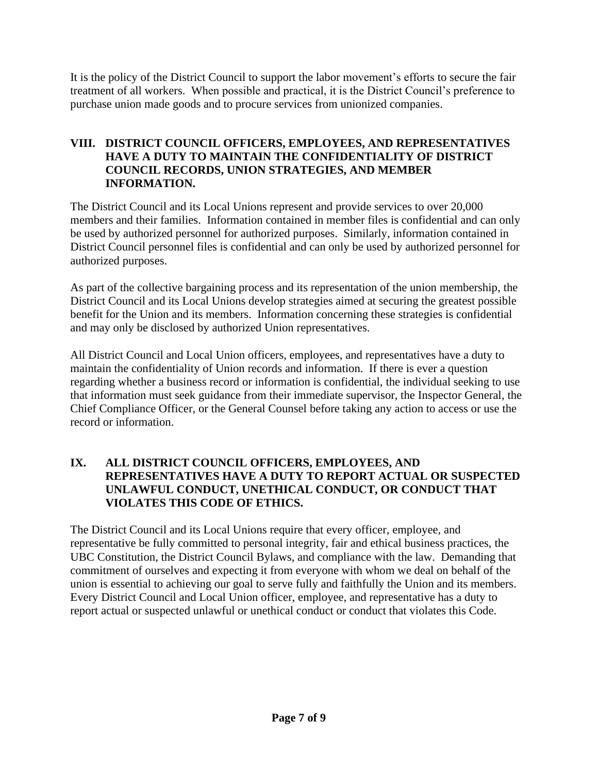It is the policy of the District Council to support the labor movement's efforts to secure the fair treatment of all workers. When possible and practical, it is the District Council's preference to purchase union made goods and to procure services from unionized companies.

#### **VIII. DISTRICT COUNCIL OFFICERS, EMPLOYEES, AND REPRESENTATIVES HAVE A DUTY TO MAINTAIN THE CONFIDENTIALITY OF DISTRICT COUNCIL RECORDS, UNION STRATEGIES, AND MEMBER INFORMATION.**

The District Council and its Local Unions represent and provide services to over 20,000 members and their families. Information contained in member files is confidential and can only be used by authorized personnel for authorized purposes. Similarly, information contained in District Council personnel files is confidential and can only be used by authorized personnel for authorized purposes.

As part of the collective bargaining process and its representation of the union membership, the District Council and its Local Unions develop strategies aimed at securing the greatest possible benefit for the Union and its members. Information concerning these strategies is confidential and may only be disclosed by authorized Union representatives.

All District Council and Local Union officers, employees, and representatives have a duty to maintain the confidentiality of Union records and information. If there is ever a question regarding whether a business record or information is confidential, the individual seeking to use that information must seek guidance from their immediate supervisor, the Inspector General, the Chief Compliance Officer, or the General Counsel before taking any action to access or use the record or information.

#### **IX. ALL DISTRICT COUNCIL OFFICERS, EMPLOYEES, AND REPRESENTATIVES HAVE A DUTY TO REPORT ACTUAL OR SUSPECTED UNLAWFUL CONDUCT, UNETHICAL CONDUCT, OR CONDUCT THAT VIOLATES THIS CODE OF ETHICS.**

The District Council and its Local Unions require that every officer, employee, and representative be fully committed to personal integrity, fair and ethical business practices, the UBC Constitution, the District Council Bylaws, and compliance with the law. Demanding that commitment of ourselves and expecting it from everyone with whom we deal on behalf of the union is essential to achieving our goal to serve fully and faithfully the Union and its members. Every District Council and Local Union officer, employee, and representative has a duty to report actual or suspected unlawful or unethical conduct or conduct that violates this Code.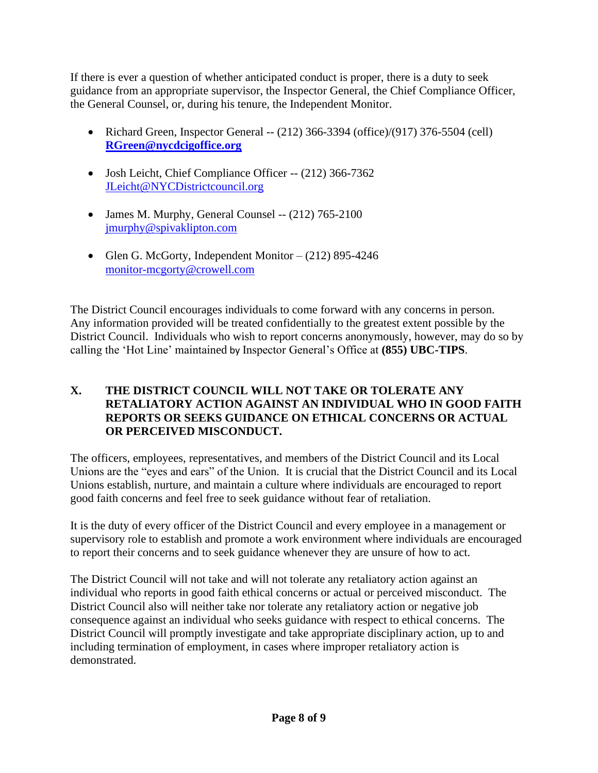If there is ever a question of whether anticipated conduct is proper, there is a duty to seek guidance from an appropriate supervisor, the Inspector General, the Chief Compliance Officer, the General Counsel, or, during his tenure, the Independent Monitor.

- Richard Green, Inspector General -- (212) 366-3394 (office)/(917) 376-5504 (cell) **[RGreen@nycdcigoffice.org](mailto:RGreen@nycdcigoffice.org)**
- Josh Leicht, Chief Compliance Officer -- (212) 366-7362 [JLeicht@NYCDistrictcouncil.org](mailto:JLeicht@NYCDistrictcouncil.org)
- James M. Murphy, General Counsel -- (212) 765-2100 [jmurphy@spivaklipton.com](mailto:jmurphy@spivaklipton.com)
- Glen G. McGorty, Independent Monitor (212) 895-4246 [monitor-mcgorty@crowell.com](mailto:monitor-mcgorty@crowell.com)

The District Council encourages individuals to come forward with any concerns in person. Any information provided will be treated confidentially to the greatest extent possible by the District Council. Individuals who wish to report concerns anonymously, however, may do so by calling the 'Hot Line' maintained by Inspector General's Office at **(855) UBC-TIPS**.

#### **X. THE DISTRICT COUNCIL WILL NOT TAKE OR TOLERATE ANY RETALIATORY ACTION AGAINST AN INDIVIDUAL WHO IN GOOD FAITH REPORTS OR SEEKS GUIDANCE ON ETHICAL CONCERNS OR ACTUAL OR PERCEIVED MISCONDUCT.**

The officers, employees, representatives, and members of the District Council and its Local Unions are the "eyes and ears" of the Union. It is crucial that the District Council and its Local Unions establish, nurture, and maintain a culture where individuals are encouraged to report good faith concerns and feel free to seek guidance without fear of retaliation.

It is the duty of every officer of the District Council and every employee in a management or supervisory role to establish and promote a work environment where individuals are encouraged to report their concerns and to seek guidance whenever they are unsure of how to act.

The District Council will not take and will not tolerate any retaliatory action against an individual who reports in good faith ethical concerns or actual or perceived misconduct. The District Council also will neither take nor tolerate any retaliatory action or negative job consequence against an individual who seeks guidance with respect to ethical concerns. The District Council will promptly investigate and take appropriate disciplinary action, up to and including termination of employment, in cases where improper retaliatory action is demonstrated.